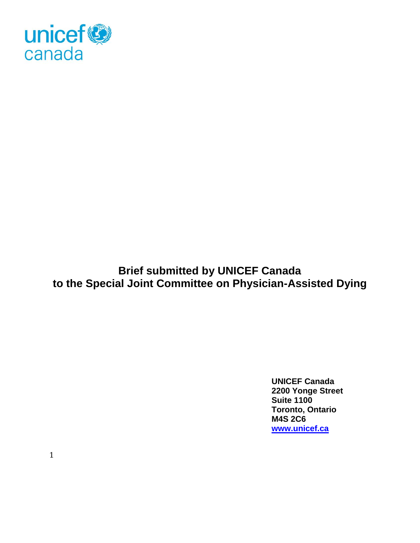

**Brief submitted by UNICEF Canada to the Special Joint Committee on Physician-Assisted Dying** 

> **UNICEF Canada 2200 Yonge Street Suite 1100 Toronto, Ontario M4S 2C6 [www.unicef.ca](http://www.unicef.ca/)**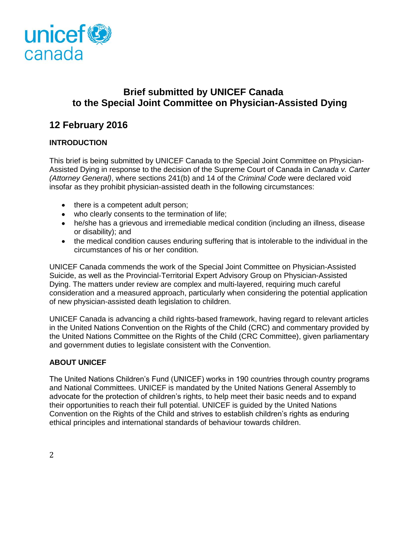

# **Brief submitted by UNICEF Canada to the Special Joint Committee on Physician-Assisted Dying**

# **12 February 2016**

# **INTRODUCTION**

This brief is being submitted by UNICEF Canada to the Special Joint Committee on Physician-Assisted Dying in response to the decision of the Supreme Court of Canada in *Canada v. Carter (Attorney General)*, where sections 241(b) and 14 of the *Criminal Code* were declared void insofar as they prohibit physician-assisted death in the following circumstances:

- there is a competent adult person;
- who clearly consents to the termination of life;
- he/she has a grievous and irremediable medical condition (including an illness, disease or disability); and
- the medical condition causes enduring suffering that is intolerable to the individual in the circumstances of his or her condition.

UNICEF Canada commends the work of the Special Joint Committee on Physician-Assisted Suicide, as well as the Provincial-Territorial Expert Advisory Group on Physician-Assisted Dying. The matters under review are complex and multi-layered, requiring much careful consideration and a measured approach, particularly when considering the potential application of new physician-assisted death legislation to children.

UNICEF Canada is advancing a child rights-based framework, having regard to relevant articles in the United Nations Convention on the Rights of the Child (CRC) and commentary provided by the United Nations Committee on the Rights of the Child (CRC Committee), given parliamentary and government duties to legislate consistent with the Convention.

## **ABOUT UNICEF**

The United Nations Children's Fund (UNICEF) works in 190 countries through country programs and National Committees. UNICEF is mandated by the United Nations General Assembly to advocate for the protection of children's rights, to help meet their basic needs and to expand their opportunities to reach their full potential. UNICEF is guided by the United Nations Convention on the Rights of the Child and strives to establish children's rights as enduring ethical principles and international standards of behaviour towards children.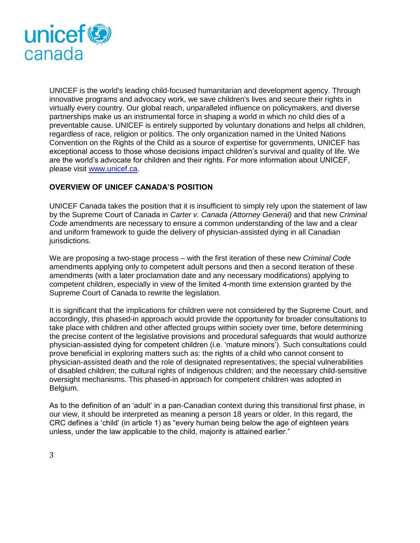

UNICEF is the world's leading child-focused humanitarian and development agency. Through innovative programs and advocacy work, we save children's lives and secure their rights in virtually every country. Our global reach, unparalleled influence on policymakers, and diverse partnerships make us an instrumental force in shaping a world in which no child dies of a preventable cause. UNICEF is entirely supported by voluntary donations and helps all children, regardless of race, religion or politics. The only organization named in the United Nations Convention on the Rights of the Child as a source of expertise for governments, UNICEF has exceptional access to those whose decisions impact children's survival and quality of life. We are the world's advocate for children and their rights. For more information about UNICEF, please visit [www.unicef.ca.](http://www.unicef.ca/)

## **OVERVIEW OF UNICEF CANADA'S POSITION**

UNICEF Canada takes the position that it is insufficient to simply rely upon the statement of law by the Supreme Court of Canada in *Carter v. Canada (Attorney General)* and that new *Criminal Code* amendments are necessary to ensure a common understanding of the law and a clear and uniform framework to guide the delivery of physician-assisted dying in all Canadian jurisdictions.

We are proposing a two-stage process – with the first iteration of these new *Criminal Code* amendments applying only to competent adult persons and then a second iteration of these amendments (with a later proclamation date and any necessary modifications) applying to competent children, especially in view of the limited 4-month time extension granted by the Supreme Court of Canada to rewrite the legislation.

It is significant that the implications for children were not considered by the Supreme Court, and accordingly, this phased-in approach would provide the opportunity for broader consultations to take place with children and other affected groups within society over time, before determining the precise content of the legislative provisions and procedural safeguards that would authorize physician-assisted dying for competent children (i.e. 'mature minors'). Such consultations could prove beneficial in exploring matters such as: the rights of a child who cannot consent to physician-assisted death and the role of designated representatives; the special vulnerabilities of disabled children; the cultural rights of indigenous children; and the necessary child-sensitive oversight mechanisms. This phased-in approach for competent children was adopted in Belgium.

As to the definition of an 'adult' in a pan-Canadian context during this transitional first phase, in our view, it should be interpreted as meaning a person 18 years or older. In this regard, the CRC defines a 'child' (in article 1) as "every human being below the age of eighteen years unless, under the law applicable to the child, majority is attained earlier."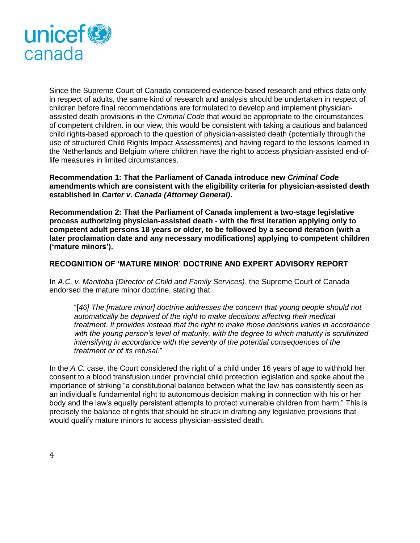

Since the Supreme Court of Canada considered evidence-based research and ethics data only in respect of adults, the same kind of research and analysis should be undertaken in respect of children before final recommendations are formulated to develop and implement physicianassisted death provisions in the *Criminal Code* that would be appropriate to the circumstances of competent children. in our view, this would be consistent with taking a cautious and balanced child rights-based approach to the question of physician-assisted death (potentially through the use of structured Child Rights Impact Assessments) and having regard to the lessons learned in the Netherlands and Belgium where children have the right to access physician-assisted end-oflife measures in limited circumstances.

**Recommendation 1: That the Parliament of Canada introduce new** *Criminal Code* **amendments which are consistent with the eligibility criteria for physician-assisted death established in** *Carter v. Canada (Attorney General)***.**

**Recommendation 2: That the Parliament of Canada implement a two-stage legislative process authorizing physician-assisted death - with the first iteration applying only to competent adult persons 18 years or older, to be followed by a second iteration (with a later proclamation date and any necessary modifications) applying to competent children ('mature minors').**

#### **RECOGNITION OF 'MATURE MINOR' DOCTRINE AND EXPERT ADVISORY REPORT**

In *A.C. v. Manitoba (Director of Child and Family Services)*, the Supreme Court of Canada endorsed the mature minor doctrine, stating that:

"[*46] The [mature minor] doctrine addresses the concern that young people should not automatically be deprived of the right to make decisions affecting their medical treatment. It provides instead that the right to make those decisions varies in accordance with the young person's level of maturity, with the degree to which maturity is scrutinized intensifying in accordance with the severity of the potential consequences of the treatment or of its refusal*."

In the *A.C.* case, the Court considered the right of a child under 16 years of age to withhold her consent to a blood transfusion under provincial child protection legislation and spoke about the importance of striking "a constitutional balance between what the law has consistently seen as an individual's fundamental right to autonomous decision making in connection with his or her body and the law's equally persistent attempts to protect vulnerable children from harm." This is precisely the balance of rights that should be struck in drafting any legislative provisions that would qualify mature minors to access physician-assisted death.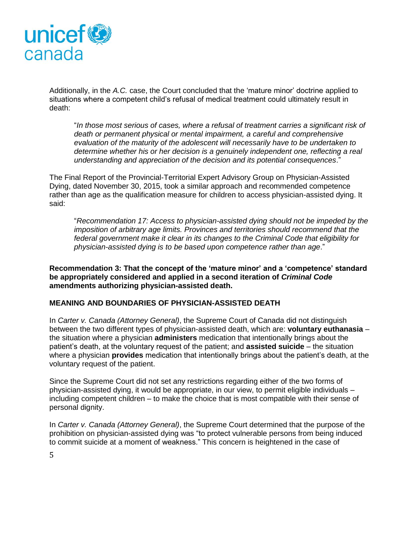

Additionally, in the *A.C.* case, the Court concluded that the 'mature minor' doctrine applied to situations where a competent child's refusal of medical treatment could ultimately result in death:

"*In those most serious of cases, where a refusal of treatment carries a significant risk of death or permanent physical or mental impairment, a careful and comprehensive evaluation of the maturity of the adolescent will necessarily have to be undertaken to determine whether his or her decision is a genuinely independent one, reflecting a real understanding and appreciation of the decision and its potential consequences*."

The Final Report of the Provincial-Territorial Expert Advisory Group on Physician-Assisted Dying, dated November 30, 2015, took a similar approach and recommended competence rather than age as the qualification measure for children to access physician-assisted dying. It said:

"*Recommendation 17: Access to physician-assisted dying should not be impeded by the imposition of arbitrary age limits. Provinces and territories should recommend that the federal government make it clear in its changes to the Criminal Code that eligibility for physician-assisted dying is to be based upon competence rather than age*."

**Recommendation 3: That the concept of the 'mature minor' and a 'competence' standard be appropriately considered and applied in a second iteration of** *Criminal Code* **amendments authorizing physician-assisted death.** 

## **MEANING AND BOUNDARIES OF PHYSICIAN-ASSISTED DEATH**

In *Carter v. Canada (Attorney General)*, the Supreme Court of Canada did not distinguish between the two different types of physician-assisted death, which are: **voluntary euthanasia** – the situation where a physician **administers** medication that intentionally brings about the patient's death, at the voluntary request of the patient; and **assisted suicide** – the situation where a physician **provides** medication that intentionally brings about the patient's death, at the voluntary request of the patient.

Since the Supreme Court did not set any restrictions regarding either of the two forms of physician-assisted dying, it would be appropriate, in our view, to permit eligible individuals – including competent children – to make the choice that is most compatible with their sense of personal dignity.

In *Carter v. Canada (Attorney General)*, the Supreme Court determined that the purpose of the prohibition on physician-assisted dying was "to protect vulnerable persons from being induced to commit suicide at a moment of weakness." This concern is heightened in the case of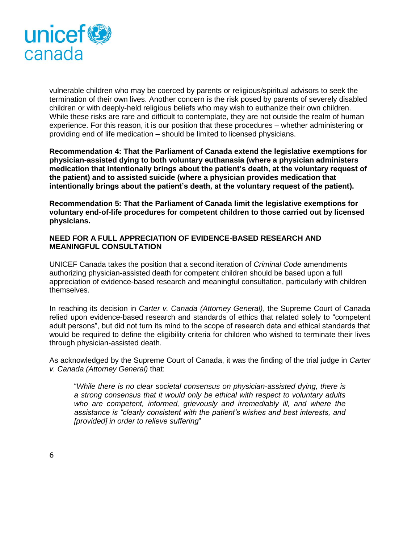

vulnerable children who may be coerced by parents or religious/spiritual advisors to seek the termination of their own lives. Another concern is the risk posed by parents of severely disabled children or with deeply-held religious beliefs who may wish to euthanize their own children. While these risks are rare and difficult to contemplate, they are not outside the realm of human experience. For this reason, it is our position that these procedures – whether administering or providing end of life medication – should be limited to licensed physicians.

**Recommendation 4: That the Parliament of Canada extend the legislative exemptions for physician-assisted dying to both voluntary euthanasia (where a physician administers medication that intentionally brings about the patient's death, at the voluntary request of the patient) and to assisted suicide (where a physician provides medication that intentionally brings about the patient's death, at the voluntary request of the patient).**

**Recommendation 5: That the Parliament of Canada limit the legislative exemptions for voluntary end-of-life procedures for competent children to those carried out by licensed physicians.**

#### **NEED FOR A FULL APPRECIATION OF EVIDENCE-BASED RESEARCH AND MEANINGFUL CONSULTATION**

UNICEF Canada takes the position that a second iteration of *Criminal Code* amendments authorizing physician-assisted death for competent children should be based upon a full appreciation of evidence-based research and meaningful consultation, particularly with children themselves.

In reaching its decision in *Carter v. Canada (Attorney General)*, the Supreme Court of Canada relied upon evidence-based research and standards of ethics that related solely to "competent adult persons", but did not turn its mind to the scope of research data and ethical standards that would be required to define the eligibility criteria for children who wished to terminate their lives through physician-assisted death.

As acknowledged by the Supreme Court of Canada, it was the finding of the trial judge in *Carter v. Canada (Attorney General)* that:

"*While there is no clear societal consensus on physician-assisted dying, there is a strong consensus that it would only be ethical with respect to voluntary adults who are competent, informed, grievously and irremediably ill, and where the assistance is "clearly consistent with the patient's wishes and best interests, and [provided] in order to relieve suffering*"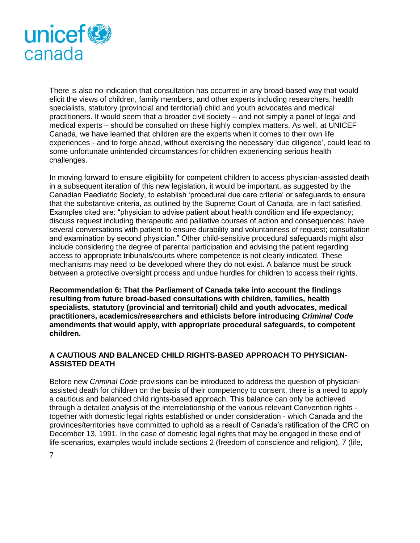

There is also no indication that consultation has occurred in any broad-based way that would elicit the views of children, family members, and other experts including researchers, health specialists, statutory (provincial and territorial) child and youth advocates and medical practitioners. It would seem that a broader civil society – and not simply a panel of legal and medical experts – should be consulted on these highly complex matters. As well, at UNICEF Canada, we have learned that children are the experts when it comes to their own life experiences - and to forge ahead, without exercising the necessary 'due diligence', could lead to some unfortunate unintended circumstances for children experiencing serious health challenges.

In moving forward to ensure eligibility for competent children to access physician-assisted death in a subsequent iteration of this new legislation, it would be important, as suggested by the Canadian Paediatric Society, to establish 'procedural due care criteria' or safeguards to ensure that the substantive criteria, as outlined by the Supreme Court of Canada, are in fact satisfied. Examples cited are: "physician to advise patient about health condition and life expectancy; discuss request including therapeutic and palliative courses of action and consequences; have several conversations with patient to ensure durability and voluntariness of request; consultation and examination by second physician." Other child-sensitive procedural safeguards might also include considering the degree of parental participation and advising the patient regarding access to appropriate tribunals/courts where competence is not clearly indicated. These mechanisms may need to be developed where they do not exist. A balance must be struck between a protective oversight process and undue hurdles for children to access their rights.

**Recommendation 6: That the Parliament of Canada take into account the findings resulting from future broad-based consultations with children, families, health specialists, statutory (provincial and territorial) child and youth advocates, medical practitioners, academics/researchers and ethicists before introducing** *Criminal Code* **amendments that would apply, with appropriate procedural safeguards, to competent children.** 

## **A CAUTIOUS AND BALANCED CHILD RIGHTS-BASED APPROACH TO PHYSICIAN-ASSISTED DEATH**

Before new *Criminal Code* provisions can be introduced to address the question of physicianassisted death for children on the basis of their competency to consent, there is a need to apply a cautious and balanced child rights-based approach. This balance can only be achieved through a detailed analysis of the interrelationship of the various relevant Convention rights together with domestic legal rights established or under consideration - which Canada and the provinces/territories have committed to uphold as a result of Canada's ratification of the CRC on December 13, 1991. In the case of domestic legal rights that may be engaged in these end of life scenarios, examples would include sections 2 (freedom of conscience and religion), 7 (life,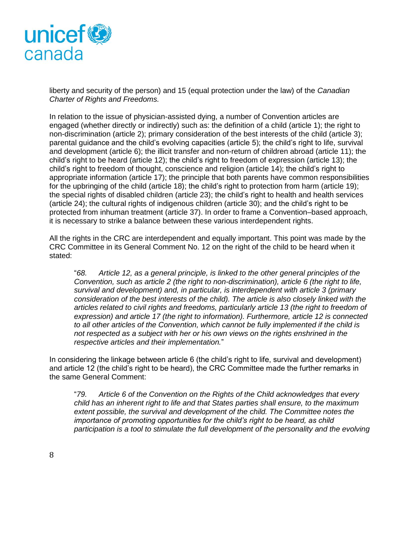

liberty and security of the person) and 15 (equal protection under the law) of the *Canadian Charter of Rights and Freedoms.* 

In relation to the issue of physician-assisted dying, a number of Convention articles are engaged (whether directly or indirectly) such as: the definition of a child (article 1); the right to non-discrimination (article 2); primary consideration of the best interests of the child (article 3); parental guidance and the child's evolving capacities (article 5); the child's right to life, survival and development (article 6); the illicit transfer and non-return of children abroad (article 11); the child's right to be heard (article 12); the child's right to freedom of expression (article 13); the child's right to freedom of thought, conscience and religion (article 14); the child's right to appropriate information (article 17); the principle that both parents have common responsibilities for the upbringing of the child (article 18); the child's right to protection from harm (article 19); the special rights of disabled children (article 23); the child's right to health and health services (article 24); the cultural rights of indigenous children (article  $30$ ); and the child's right to be protected from inhuman treatment (article 37). In order to frame a Convention–based approach, it is necessary to strike a balance between these various interdependent rights.

All the rights in the CRC are interdependent and equally important. This point was made by the CRC Committee in its General Comment No. 12 on the right of the child to be heard when it stated:

"*68. Article 12, as a general principle, is linked to the other general principles of the Convention, such as article 2 (the right to non-discrimination), article 6 (the right to life, survival and development) and, in particular, is interdependent with article 3 (primary consideration of the best interests of the child). The article is also closely linked with the articles related to civil rights and freedoms, particularly article 13 (the right to freedom of expression) and article 17 (the right to information). Furthermore, article 12 is connected to all other articles of the Convention, which cannot be fully implemented if the child is not respected as a subject with her or his own views on the rights enshrined in the respective articles and their implementation.*"

In considering the linkage between article 6 (the child's right to life, survival and development) and article 12 (the child's right to be heard), the CRC Committee made the further remarks in the same General Comment:

"*79. Article 6 of the Convention on the Rights of the Child acknowledges that every child has an inherent right to life and that States parties shall ensure, to the maximum extent possible, the survival and development of the child. The Committee notes the importance of promoting opportunities for the child's right to be heard, as child participation is a tool to stimulate the full development of the personality and the evolving*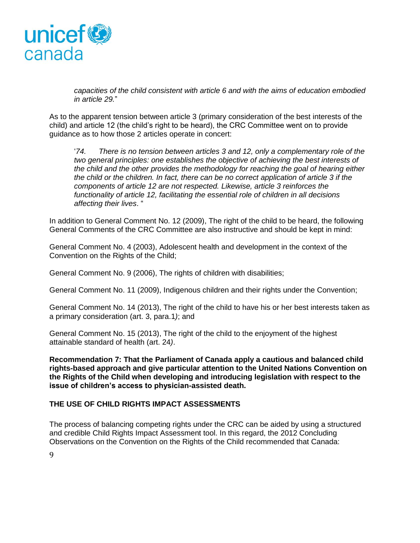

*capacities of the child consistent with article 6 and with the aims of education embodied in article 29.*"

As to the apparent tension between article 3 (primary consideration of the best interests of the child) and article 12 (the child's right to be heard), the CRC Committee went on to provide guidance as to how those 2 articles operate in concert:

'*74. There is no tension between articles 3 and 12, only a complementary role of the two general principles: one establishes the objective of achieving the best interests of the child and the other provides the methodology for reaching the goal of hearing either the child or the children. In fact, there can be no correct application of article 3 if the components of article 12 are not respected. Likewise, article 3 reinforces the functionality of article 12, facilitating the essential role of children in all decisions affecting their lives*. "

In addition to General Comment No. 12 (2009), The right of the child to be heard, the following General Comments of the CRC Committee are also instructive and should be kept in mind:

General Comment No. 4 (2003), Adolescent health and development in the context of the Convention on the Rights of the Child;

General Comment No. 9 (2006), The rights of children with disabilities;

General Comment No. 11 (2009), Indigenous children and their rights under the Convention;

General Comment No. 14 (2013), The right of the child to have his or her best interests taken as a primary consideration (art. 3, para.1*)*; and

General Comment No. 15 (2013), The right of the child to the enjoyment of the highest attainable standard of health (art. 24*)*.

**Recommendation 7: That the Parliament of Canada apply a cautious and balanced child rights-based approach and give particular attention to the United Nations Convention on the Rights of the Child when developing and introducing legislation with respect to the issue of children's access to physician-assisted death.**

## **THE USE OF CHILD RIGHTS IMPACT ASSESSMENTS**

The process of balancing competing rights under the CRC can be aided by using a structured and credible Child Rights Impact Assessment tool. In this regard, the 2012 Concluding Observations on the Convention on the Rights of the Child recommended that Canada: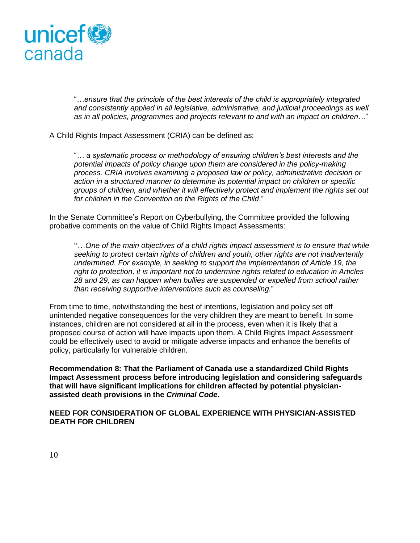

"*…ensure that the principle of the best interests of the child is appropriately integrated*  and consistently applied in all legislative, administrative, and judicial proceedings as well *as in all policies, programmes and projects relevant to and with an impact on children…*"

A Child Rights Impact Assessment (CRIA) can be defined as:

"*… a systematic process or methodology of ensuring children's best interests and the potential impacts of policy change upon them are considered in the policy-making process. CRIA involves examining a proposed law or policy, administrative decision or action in a structured manner to determine its potential impact on children or specific groups of children, and whether it will effectively protect and implement the rights set out for children in the Convention on the Rights of the Child*."

In the Senate Committee's Report on Cyberbullying, the Committee provided the following probative comments on the value of Child Rights Impact Assessments:

"…*One of the main objectives of a child rights impact assessment is to ensure that while seeking to protect certain rights of children and youth, other rights are not inadvertently undermined. For example, in seeking to support the implementation of Article 19, the right to protection, it is important not to undermine rights related to education in Articles 28 and 29, as can happen when bullies are suspended or expelled from school rather than receiving supportive interventions such as counseling.*"

From time to time, notwithstanding the best of intentions, legislation and policy set off unintended negative consequences for the very children they are meant to benefit. In some instances, children are not considered at all in the process, even when it is likely that a proposed course of action will have impacts upon them. A Child Rights Impact Assessment could be effectively used to avoid or mitigate adverse impacts and enhance the benefits of policy, particularly for vulnerable children.

**Recommendation 8: That the Parliament of Canada use a standardized Child Rights Impact Assessment process before introducing legislation and considering safeguards that will have significant implications for children affected by potential physicianassisted death provisions in the** *Criminal Code***.**

**NEED FOR CONSIDERATION OF GLOBAL EXPERIENCE WITH PHYSICIAN-ASSISTED DEATH FOR CHILDREN**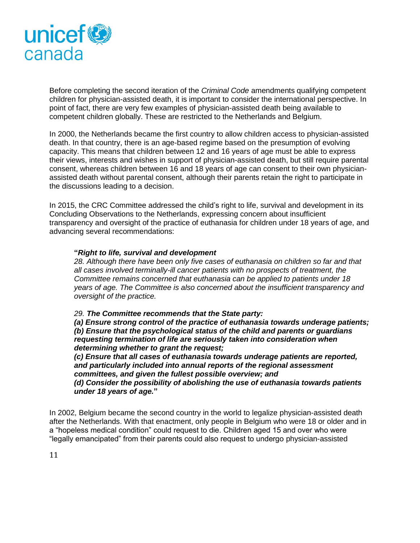

Before completing the second iteration of the *Criminal Code* amendments qualifying competent children for physician-assisted death, it is important to consider the international perspective. In point of fact, there are very few examples of physician-assisted death being available to competent children globally. These are restricted to the Netherlands and Belgium.

In 2000, the Netherlands became the first country to allow children access to physician-assisted death. In that country, there is an age-based regime based on the presumption of evolving capacity. This means that children between 12 and 16 years of age must be able to express their views, interests and wishes in support of physician-assisted death, but still require parental consent, whereas children between 16 and 18 years of age can consent to their own physicianassisted death without parental consent, although their parents retain the right to participate in the discussions leading to a decision.

In 2015, the CRC Committee addressed the child's right to life, survival and development in its Concluding Observations to the Netherlands, expressing concern about insufficient transparency and oversight of the practice of euthanasia for children under 18 years of age, and advancing several recommendations:

#### **"***Right to life, survival and development*

*28. Although there have been only five cases of euthanasia on children so far and that all cases involved terminally-ill cancer patients with no prospects of treatment, the Committee remains concerned that euthanasia can be applied to patients under 18 years of age. The Committee is also concerned about the insufficient transparency and oversight of the practice.*

*29. The Committee recommends that the State party:* 

*(a) Ensure strong control of the practice of euthanasia towards underage patients; (b) Ensure that the psychological status of the child and parents or guardians requesting termination of life are seriously taken into consideration when determining whether to grant the request;* 

*(c) Ensure that all cases of euthanasia towards underage patients are reported, and particularly included into annual reports of the regional assessment committees, and given the fullest possible overview; and* 

*(d) Consider the possibility of abolishing the use of euthanasia towards patients under 18 years of age.***"**

In 2002, Belgium became the second country in the world to legalize physician-assisted death after the Netherlands. With that enactment, only people in Belgium who were 18 or older and in a "hopeless medical condition" could request to die. Children aged 15 and over who were "legally emancipated" from their parents could also request to undergo physician-assisted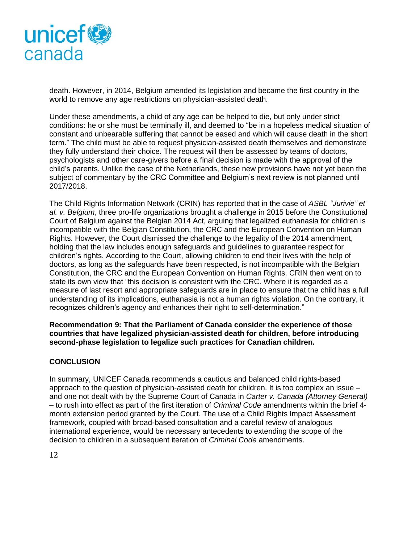

death. However, in 2014, Belgium amended its legislation and became the first country in the world to remove any age restrictions on physician-assisted death.

Under these amendments, a child of any age can be helped to die, but only under strict conditions: he or she must be terminally ill, and deemed to "be in a hopeless medical situation of constant and unbearable suffering that cannot be eased and which will cause death in the short term." The child must be able to request physician-assisted death themselves and demonstrate they fully understand their choice. The request will then be assessed by teams of doctors, psychologists and other care-givers before a final decision is made with the approval of the child's parents. Unlike the case of the Netherlands, these new provisions have not yet been the subject of commentary by the CRC Committee and Belgium's next review is not planned until 2017/2018.

The Child Rights Information Network (CRIN) has reported that in the case of *ASBL "Jurivie" et al. v. Belgium*, three pro-life organizations brought a challenge in 2015 before the Constitutional Court of Belgium against the Belgian 2014 Act, arguing that legalized euthanasia for children is incompatible with the Belgian Constitution, the CRC and the European Convention on Human Rights. However, the Court dismissed the challenge to the legality of the 2014 amendment, holding that the law includes enough safeguards and guidelines to guarantee respect for children's rights. According to the Court, allowing children to end their lives with the help of doctors, as long as the safeguards have been respected, is not incompatible with the Belgian Constitution, the CRC and the European Convention on Human Rights. CRIN then went on to state its own view that "this decision is consistent with the CRC. Where it is regarded as a measure of last resort and appropriate safeguards are in place to ensure that the child has a full understanding of its implications, euthanasia is not a human rights violation. On the contrary, it recognizes children's agency and enhances their right to self-determination."

**Recommendation 9: That the Parliament of Canada consider the experience of those countries that have legalized physician-assisted death for children, before introducing second-phase legislation to legalize such practices for Canadian children.**

## **CONCLUSION**

In summary, UNICEF Canada recommends a cautious and balanced child rights-based approach to the question of physician-assisted death for children. It is too complex an issue – and one not dealt with by the Supreme Court of Canada in *Carter v. Canada (Attorney General)*  – to rush into effect as part of the first iteration of *Criminal Code* amendments within the brief 4 month extension period granted by the Court. The use of a Child Rights Impact Assessment framework, coupled with broad-based consultation and a careful review of analogous international experience, would be necessary antecedents to extending the scope of the decision to children in a subsequent iteration of *Criminal Code* amendments.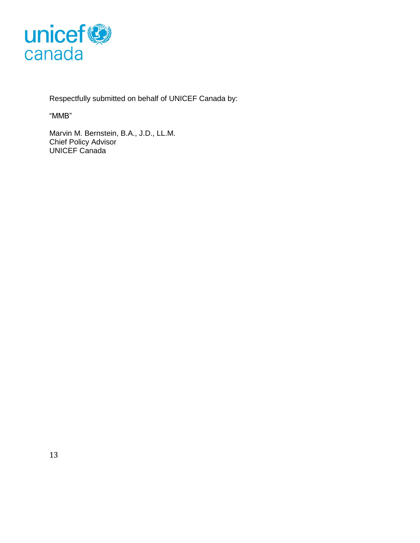

Respectfully submitted on behalf of UNICEF Canada by:

"MMB"

Marvin M. Bernstein, B.A., J.D., LL.M. Chief Policy Advisor UNICEF Canada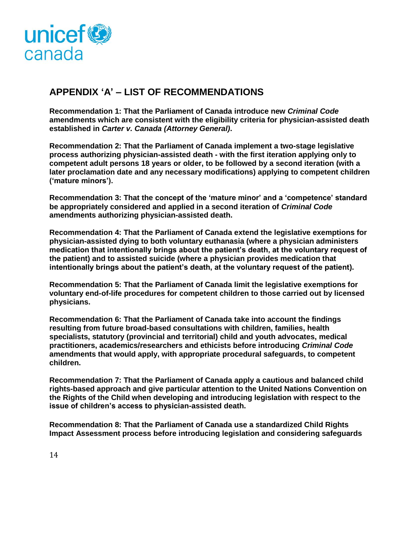

# **APPENDIX 'A' – LIST OF RECOMMENDATIONS**

**Recommendation 1: That the Parliament of Canada introduce new** *Criminal Code* **amendments which are consistent with the eligibility criteria for physician-assisted death established in** *Carter v. Canada (Attorney General)***.**

**Recommendation 2: That the Parliament of Canada implement a two-stage legislative process authorizing physician-assisted death - with the first iteration applying only to competent adult persons 18 years or older, to be followed by a second iteration (with a later proclamation date and any necessary modifications) applying to competent children ('mature minors').**

**Recommendation 3: That the concept of the 'mature minor' and a 'competence' standard be appropriately considered and applied in a second iteration of** *Criminal Code* **amendments authorizing physician-assisted death.**

**Recommendation 4: That the Parliament of Canada extend the legislative exemptions for physician-assisted dying to both voluntary euthanasia (where a physician administers medication that intentionally brings about the patient's death, at the voluntary request of the patient) and to assisted suicide (where a physician provides medication that intentionally brings about the patient's death, at the voluntary request of the patient).**

**Recommendation 5: That the Parliament of Canada limit the legislative exemptions for voluntary end-of-life procedures for competent children to those carried out by licensed physicians.**

**Recommendation 6: That the Parliament of Canada take into account the findings resulting from future broad-based consultations with children, families, health specialists, statutory (provincial and territorial) child and youth advocates, medical practitioners, academics/researchers and ethicists before introducing** *Criminal Code* **amendments that would apply, with appropriate procedural safeguards, to competent children.** 

**Recommendation 7: That the Parliament of Canada apply a cautious and balanced child rights-based approach and give particular attention to the United Nations Convention on the Rights of the Child when developing and introducing legislation with respect to the issue of children's access to physician-assisted death.**

**Recommendation 8: That the Parliament of Canada use a standardized Child Rights Impact Assessment process before introducing legislation and considering safeguards**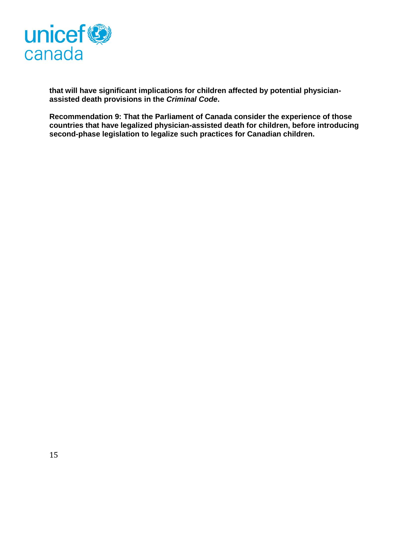

**that will have significant implications for children affected by potential physicianassisted death provisions in the** *Criminal Code***.** 

**Recommendation 9: That the Parliament of Canada consider the experience of those countries that have legalized physician-assisted death for children, before introducing second-phase legislation to legalize such practices for Canadian children.**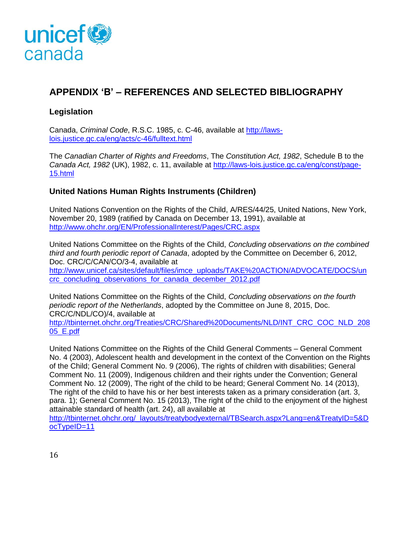

# **APPENDIX 'B' – REFERENCES AND SELECTED BIBLIOGRAPHY**

# **Legislation**

Canada, *Criminal Code*, R.S.C. 1985, c. C-46, available at [http://laws](http://laws-lois.justice.gc.ca/eng/acts/c-46/fulltext.html)[lois.justice.gc.ca/eng/acts/c-46/fulltext.html](http://laws-lois.justice.gc.ca/eng/acts/c-46/fulltext.html)

The *Canadian Charter of Rights and Freedoms*, The *Constitution Act, 1982*, Schedule B to the *Canada Act, 1982* (UK), 1982, c. 11, available at [http://laws-lois.justice.gc.ca/eng/const/page-](http://laws-lois.justice.gc.ca/eng/const/page-15.html)[15.html](http://laws-lois.justice.gc.ca/eng/const/page-15.html)

# **United Nations Human Rights Instruments (Children)**

United Nations Convention on the Rights of the Child, A/RES/44/25, United Nations, New York, November 20, 1989 (ratified by Canada on December 13, 1991), available at <http://www.ohchr.org/EN/ProfessionalInterest/Pages/CRC.aspx>

United Nations Committee on the Rights of the Child, *Concluding observations on the combined third and fourth periodic report of Canada*, adopted by the Committee on December 6, 2012, Doc. CRC/C/CAN/CO/3-4, available at [http://www.unicef.ca/sites/default/files/imce\\_uploads/TAKE%20ACTION/ADVOCATE/DOCS/un](http://www.unicef.ca/sites/default/files/imce_uploads/TAKE%20ACTION/ADVOCATE/DOCS/uncrc_concluding_observations_for_canada_december_2012.pdf) [crc\\_concluding\\_observations\\_for\\_canada\\_december\\_2012.pdf](http://www.unicef.ca/sites/default/files/imce_uploads/TAKE%20ACTION/ADVOCATE/DOCS/uncrc_concluding_observations_for_canada_december_2012.pdf)

United Nations Committee on the Rights of the Child, *Concluding observations on the fourth periodic report of the Netherlands*, adopted by the Committee on June 8, 2015, Doc. CRC/C/NDL/CO)/4, available at [http://tbinternet.ohchr.org/Treaties/CRC/Shared%20Documents/NLD/INT\\_CRC\\_COC\\_NLD\\_208](http://tbinternet.ohchr.org/Treaties/CRC/Shared%20Documents/NLD/INT_CRC_COC_NLD_20805_E.pdf) [05\\_E.pdf](http://tbinternet.ohchr.org/Treaties/CRC/Shared%20Documents/NLD/INT_CRC_COC_NLD_20805_E.pdf)

United Nations Committee on the Rights of the Child General Comments – General Comment No. 4 (2003), Adolescent health and development in the context of the Convention on the Rights of the Child; General Comment No. 9 (2006), The rights of children with disabilities; General Comment No. 11 (2009), Indigenous children and their rights under the Convention; General Comment No. 12 (2009), The right of the child to be heard; General Comment No. 14 (2013), The right of the child to have his or her best interests taken as a primary consideration (art. 3, para. 1); General Comment No. 15 (2013), The right of the child to the enjoyment of the highest attainable standard of health (art. 24), all available at

[http://tbinternet.ohchr.org/\\_layouts/treatybodyexternal/TBSearch.aspx?Lang=en&TreatyID=5&D](http://tbinternet.ohchr.org/_layouts/treatybodyexternal/TBSearch.aspx?Lang=en&TreatyID=5&DocTypeID=11) [ocTypeID=11](http://tbinternet.ohchr.org/_layouts/treatybodyexternal/TBSearch.aspx?Lang=en&TreatyID=5&DocTypeID=11)